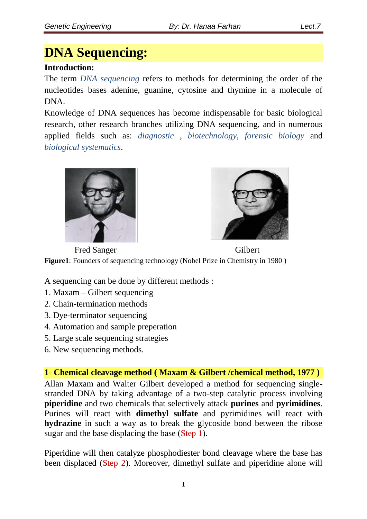# **DNA Sequencing:**

#### **Introduction:**

The term *DNA sequencing* refers to methods for determining the order of the nucleotides bases adenine, guanine, cytosine and thymine in a molecule of DNA.

Knowledge of DNA sequences has become indispensable for basic biological research, other research branches utilizing DNA sequencing, and in numerous applied fields such as: *diagnostic* , *biotechnology*, *forensic biology* and *biological systematics*.





Fred Sanger Gilbert **Figure1**: Founders of sequencing technology (Nobel Prize in Chemistry in 1980 )

A sequencing can be done by different methods :

- 1. Maxam Gilbert sequencing
- 2. Chain-termination methods
- 3. Dye-terminator sequencing
- 4. Automation and sample preperation
- 5. Large scale sequencing strategies
- 6. New sequencing methods.

**1**- **Chemical cleavage method ( Maxam & Gilbert /chemical method, 1977 )**  Allan Maxam and Walter Gilbert developed a method for sequencing singlestranded DNA by taking advantage of a two-step catalytic process involving **piperidine** and two chemicals that selectively attack **purines** and **pyrimidines**. Purines will react with **dimethyl sulfate** and pyrimidines will react with **hydrazine** in such a way as to break the glycoside bond between the ribose sugar and the base displacing the base (Step 1).

Piperidine will then catalyze phosphodiester bond cleavage where the base has been displaced (Step 2). Moreover, dimethyl sulfate and piperidine alone will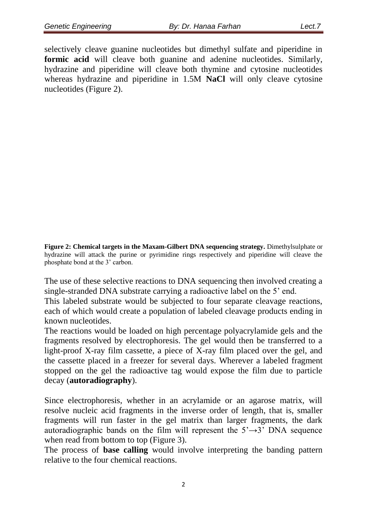selectively cleave guanine nucleotides but dimethyl sulfate and piperidine in **formic acid** will cleave both guanine and adenine nucleotides. Similarly, hydrazine and piperidine will cleave both thymine and cytosine nucleotides whereas hydrazine and piperidine in 1.5M **NaCl** will only cleave cytosine nucleotides (Figure 2).

**Figure 2: Chemical targets in the Maxam-Gilbert DNA sequencing strategy.** Dimethylsulphate or hydrazine will attack the purine or pyrimidine rings respectively and piperidine will cleave the phosphate bond at the 3' carbon.

The use of these selective reactions to DNA sequencing then involved creating a single-stranded DNA substrate carrying a radioactive label on the 5' end.

This labeled substrate would be subjected to four separate cleavage reactions, each of which would create a population of labeled cleavage products ending in known nucleotides.

The reactions would be loaded on high percentage polyacrylamide gels and the fragments resolved by electrophoresis. The gel would then be transferred to a light-proof X-ray film cassette, a piece of X-ray film placed over the gel, and the cassette placed in a freezer for several days. Wherever a labeled fragment stopped on the gel the radioactive tag would expose the film due to particle decay (**autoradiography**).

Since electrophoresis, whether in an acrylamide or an agarose matrix, will resolve nucleic acid fragments in the inverse order of length, that is, smaller fragments will run faster in the gel matrix than larger fragments, the dark autoradiographic bands on the film will represent the  $5' \rightarrow 3'$  DNA sequence when read from bottom to top (Figure 3).

The process of **base calling** would involve interpreting the banding pattern relative to the four chemical reactions.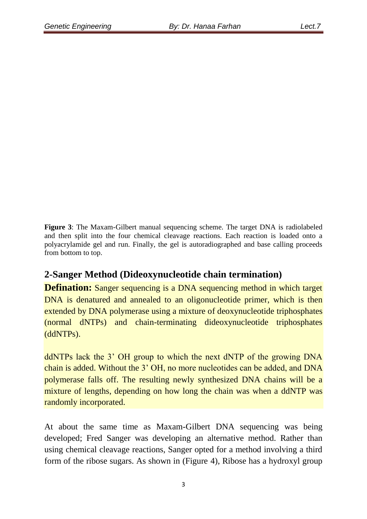**Figure 3:** The Maxam-Gilbert manual sequencing scheme. The target DNA is radiolabeled and then split into the four chemical cleavage reactions. Each reaction is loaded onto a polyacrylamide gel and run. Finally, the gel is autoradiographed and base calling proceeds from bottom to top.

## **2-Sanger Method (Dideoxynucleotide chain termination)**

**Defination:** Sanger sequencing is a DNA sequencing method in which target DNA is denatured and annealed to an oligonucleotide primer, which is then extended by DNA polymerase using a mixture of deoxynucleotide triphosphates (normal dNTPs) and chain-terminating dideoxynucleotide triphosphates (ddNTPs).

ddNTPs lack the 3' OH group to which the next dNTP of the growing DNA chain is added. Without the 3' OH, no more nucleotides can be added, and DNA polymerase falls off. The resulting newly synthesized DNA chains will be a mixture of lengths, depending on how long the chain was when a ddNTP was randomly incorporated.

At about the same time as Maxam-Gilbert DNA sequencing was being developed; Fred Sanger was developing an alternative method. Rather than using chemical cleavage reactions, Sanger opted for a method involving a third form of the ribose sugars. As shown in (Figure 4), Ribose has a hydroxyl group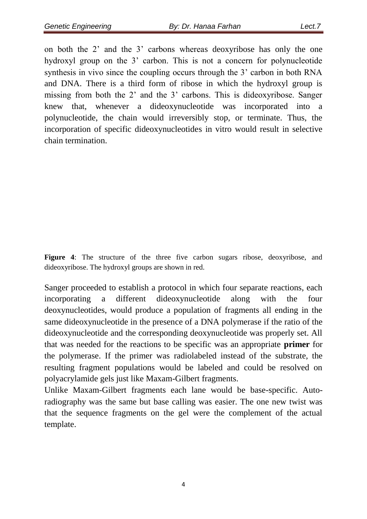on both the 2' and the 3' carbons whereas deoxyribose has only the one hydroxyl group on the 3' carbon. This is not a concern for polynucleotide synthesis in vivo since the coupling occurs through the 3' carbon in both RNA and DNA. There is a third form of ribose in which the hydroxyl group is missing from both the 2' and the 3' carbons. This is dideoxyribose. Sanger knew that, whenever a dideoxynucleotide was incorporated into a polynucleotide, the chain would irreversibly stop, or terminate. Thus, the incorporation of specific dideoxynucleotides in vitro would result in selective chain termination.

**Figure 4**: The structure of the three five carbon sugars ribose, deoxyribose, and dideoxyribose. The hydroxyl groups are shown in red.

Sanger proceeded to establish a protocol in which four separate reactions, each incorporating a different dideoxynucleotide along with the four deoxynucleotides, would produce a population of fragments all ending in the same dideoxynucleotide in the presence of a DNA polymerase if the ratio of the dideoxynucleotide and the corresponding deoxynucleotide was properly set. All that was needed for the reactions to be specific was an appropriate **primer** for the polymerase. If the primer was radiolabeled instead of the substrate, the resulting fragment populations would be labeled and could be resolved on polyacrylamide gels just like Maxam-Gilbert fragments.

Unlike Maxam-Gilbert fragments each lane would be base-specific. Autoradiography was the same but base calling was easier. The one new twist was that the sequence fragments on the gel were the complement of the actual template.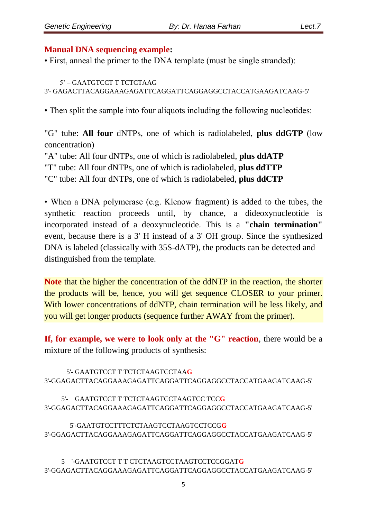#### **Manual DNA sequencing example:**

• First, anneal the primer to the DNA template (must be single stranded):

 5' – GAATGTCCT T TCTCTAAG 3'- GAGACTTACAGGAAAGAGATTCAGGATTCAGGAGGCCTACCATGAAGATCAAG-5'

• Then split the sample into four aliquots including the following nucleotides:

"G" tube: **All four** dNTPs, one of which is radiolabeled, **plus ddGTP** (low concentration)

"A" tube: All four dNTPs, one of which is radiolabeled, **plus ddATP** "T" tube: All four dNTPs, one of which is radiolabeled, **plus ddTTP** "C" tube: All four dNTPs, one of which is radiolabeled, **plus ddCTP**

• When a DNA polymerase (e.g. Klenow fragment) is added to the tubes, the synthetic reaction proceeds until, by chance, a dideoxynucleotide is incorporated instead of a deoxynucleotide. This is a **"chain termination"**  event, because there is a 3' H instead of a 3' OH group. Since the synthesized DNA is labeled (classically with 35S-dATP), the products can be detected and distinguished from the template.

**Note** that the higher the concentration of the ddNTP in the reaction, the shorter the products will be, hence, you will get sequence CLOSER to your primer. With lower concentrations of ddNTP, chain termination will be less likely, and you will get longer products (sequence further AWAY from the primer).

**If, for example, we were to look only at the "G" reaction**, there would be a mixture of the following products of synthesis:

 5'- GAATGTCCT T TCTCTAAGTCCTAA**G** 3'-GGAGACTTACAGGAAAGAGATTCAGGATTCAGGAGGCCTACCATGAAGATCAAG-5'

 5'- GAATGTCCT T TCTCTAAGTCCTAAGTCC TCC**G** 3'-GGAGACTTACAGGAAAGAGATTCAGGATTCAGGAGGCCTACCATGAAGATCAAG-5'

 5'-GAATGTCCTTTCTCTAAGTCCTAAGTCCTCCG**G** 3'-GGAGACTTACAGGAAAGAGATTCAGGATTCAGGAGGCCTACCATGAAGATCAAG-5'

 5 '-GAATGTCCT T T CTCTAAGTCCTAAGTCCTCCGGAT**G** 3'-GGAGACTTACAGGAAAGAGATTCAGGATTCAGGAGGCCTACCATGAAGATCAAG-5'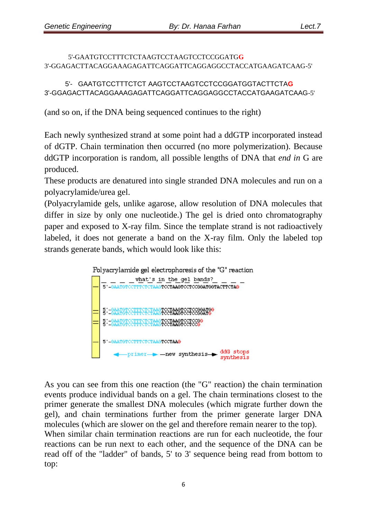5'-GAATGTCCTTTCTCTAAGTCCTAAGTCCTCCGGATG**G** 3'-GGAGACTTACAGGAAAGAGATTCAGGATTCAGGAGGCCTACCATGAAGATCAAG-5'

 5'- GAATGTCCTTTCTCT AAGTCCTAAGTCCTCCGGATGGTACTTCTA**G** 3'-GGAGACTTACAGGAAAGAGATTCAGGATTCAGGAGGCCTACCATGAAGATCAAG-5'

(and so on, if the DNA being sequenced continues to the right)

Each newly synthesized strand at some point had a ddGTP incorporated instead of dGTP. Chain termination then occurred (no more polymerization). Because ddGTP incorporation is random, all possible lengths of DNA that *end in* G are produced.

These products are denatured into single stranded DNA molecules and run on a polyacrylamide/urea gel.

(Polyacrylamide gels, unlike agarose, allow resolution of DNA molecules that differ in size by only one nucleotide.) The gel is dried onto chromatography paper and exposed to X-ray film. Since the template strand is not radioactively labeled, it does not generate a band on the X-ray film. Only the labeled top strands generate bands, which would look like this:



As you can see from this one reaction (the "G" reaction) the chain termination events produce individual bands on a gel. The chain terminations closest to the primer generate the smallest DNA molecules (which migrate further down the gel), and chain terminations further from the primer generate larger DNA molecules (which are slower on the gel and therefore remain nearer to the top). When similar chain termination reactions are run for each nucleotide, the four reactions can be run next to each other, and the sequence of the DNA can be read off of the "ladder" of bands, 5' to 3' sequence being read from bottom to top: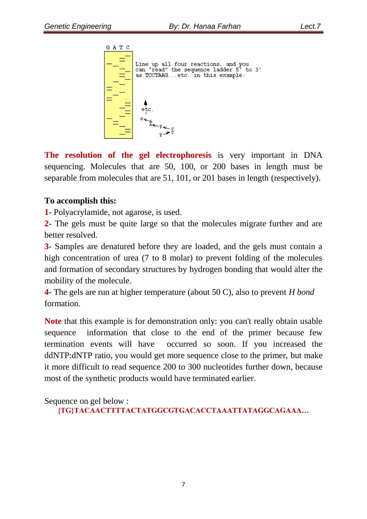

**The resolution of the gel electrophoresis** is very important in DNA sequencing. Molecules that are 50, 100, or 200 bases in length must be separable from molecules that are 51, 101, or 201 bases in length (respectively).

#### **To accomplish this:**

**1**- Polyacrylamide, not agarose, is used.

**2**- The gels must be quite large so that the molecules migrate further and are better resolved.

**3**- Samples are denatured before they are loaded, and the gels must contain a high concentration of urea (7 to 8 molar) to prevent folding of the molecules and formation of secondary structures by hydrogen bonding that would alter the mobility of the molecule.

**4**- The gels are run at higher temperature (about 50 C), also to prevent *H bond* formation.

**Note** that this example is for demonstration only: you can't really obtain usable sequence information that close to the end of the primer because few termination events will have occurred so soon. If you increased the ddNTP:dNTP ratio, you would get more sequence close to the primer, but make it more difficult to read sequence 200 to 300 nucleotides further down, because most of the synthetic products would have terminated earlier.

Sequence on gel below :

```
{TG}TACAACTTTTACTATGGCGTGACACCTAAATTATAGGCAGAAA…
```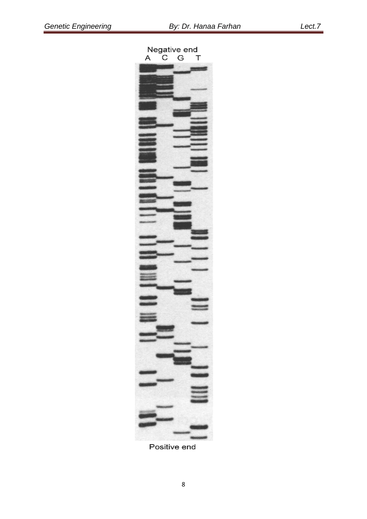

Positive end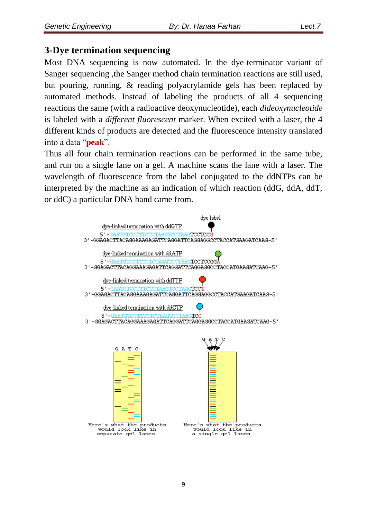### **3-Dye termination sequencing**

Most DNA sequencing is now automated. In the dye-terminator variant of Sanger sequencing ,the Sanger method chain termination reactions are still used, but pouring, running, & reading polyacrylamide gels has been replaced by automated methods. Instead of labeling the products of all 4 sequencing reactions the same (with a radioactive deoxynucleotide), each *dideoxynucleotide*  is labeled with a *different fluorescent* marker. When excited with a laser, the 4 different kinds of products are detected and the fluorescence intensity translated into a data "**peak**".

Thus all four chain termination reactions can be performed in the same tube, and run on a single lane on a gel. A machine scans the lane with a laser. The wavelength of fluorescence from the label conjugated to the ddNTPs can be interpreted by the machine as an indication of which reaction (ddG, ddA, ddT, or ddC) a particular DNA band came from.

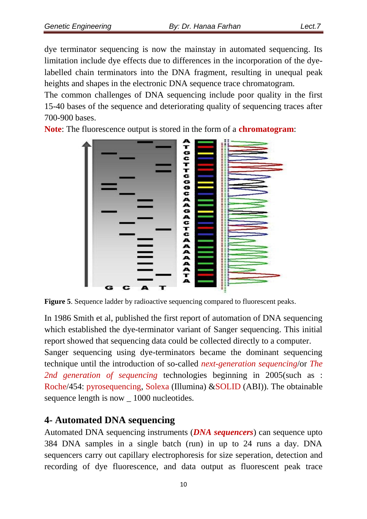dye terminator sequencing is now the mainstay in automated sequencing. Its limitation include dye effects due to differences in the incorporation of the dyelabelled chain terminators into the DNA fragment, resulting in unequal peak heights and shapes in the electronic DNA sequence trace chromatogram.

The common challenges of DNA sequencing include poor quality in the first 15-40 bases of the sequence and deteriorating quality of sequencing traces after 700-900 bases.

**Note**: The fluorescence output is stored in the form of a **chromatogram**:



**Figure 5**. Sequence ladder by radioactive sequencing compared to fluorescent peaks.

In 1986 Smith et al, published the first report of automation of DNA sequencing which established the dye-terminator variant of Sanger sequencing. This initial report showed that sequencing data could be collected directly to a computer.

Sanger sequencing using dye-terminators became the dominant sequencing technique until the introduction of so-called *next-generation sequencing*/or *The 2nd generation of sequencing* technologies beginning in 2005(such as : Roche/454: pyrosequencing, Solexa (Illumina) &SOLID (ABI)). The obtainable sequence length is now \_ 1000 nucleotides.

## **4- Automated DNA sequencing**

Automated DNA sequencing instruments (*DNA sequencers*) can sequence upto 384 DNA samples in a single batch (run) in up to 24 runs a day. DNA sequencers carry out capillary electrophoresis for size seperation, detection and recording of dye fluorescence, and data output as fluorescent peak trace